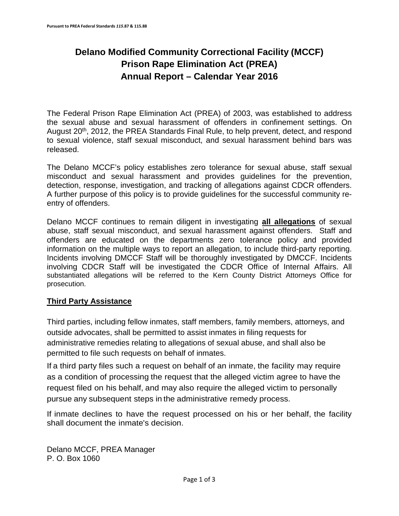### **Delano Modified Community Correctional Facility (MCCF) Prison Rape Elimination Act (PREA) Annual Report – Calendar Year 2016**

The Federal Prison Rape Elimination Act (PREA) of 2003, was established to address the sexual abuse and sexual harassment of offenders in confinement settings. On August 20<sup>th</sup>, 2012, the PREA Standards Final Rule, to help prevent, detect, and respond to sexual violence, staff sexual misconduct, and sexual harassment behind bars was released.

The Delano MCCF's policy establishes zero tolerance for sexual abuse, staff sexual misconduct and sexual harassment and provides guidelines for the prevention, detection, response, investigation, and tracking of allegations against CDCR offenders. A further purpose of this policy is to provide guidelines for the successful community reentry of offenders.

Delano MCCF continues to remain diligent in investigating **all allegations** of sexual abuse, staff sexual misconduct, and sexual harassment against offenders. Staff and offenders are educated on the departments zero tolerance policy and provided information on the multiple ways to report an allegation, to include third-party reporting. Incidents involving DMCCF Staff will be thoroughly investigated by DMCCF. Incidents involving CDCR Staff will be investigated the CDCR Office of Internal Affairs. All substantiated allegations will be referred to the Kern County District Attorneys Office for prosecution.

#### **Third Party Assistance**

Third parties, including fellow inmates, staff members, family members, attorneys, and outside advocates, shall be permitted to assist inmates in filing requests for administrative remedies relating to allegations of sexual abuse, and shall also be permitted to file such requests on behalf of inmates.

If a third party files such a request on behalf of an inmate, the facility may require as a condition of processing the request that the alleged victim agree to have the request filed on his behalf, and may also require the alleged victim to personally pursue any subsequent steps in the administrative remedy process.

If inmate declines to have the request processed on his or her behalf, the facility shall document the inmate's decision.

Delano MCCF, PREA Manager P. O. Box 1060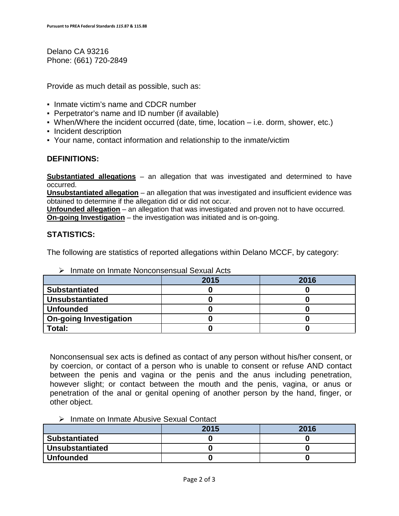Delano CA 93216 Phone: (661) 720-2849

Provide as much detail as possible, such as:

- Inmate victim's name and CDCR number
- Perpetrator's name and ID number (if available)
- $\bullet$  When/Where the incident occurred (date, time, location  $-$  i.e. dorm, shower, etc.)
- Incident description
- Your name, contact information and relationship to the inmate/victim

#### **DEFINITIONS:**

**Substantiated allegations** – an allegation that was investigated and determined to have occurred.

**Unsubstantiated allegation** – an allegation that was investigated and insufficient evidence was obtained to determine if the allegation did or did not occur.

**Unfounded allegation** – an allegation that was investigated and proven not to have occurred. **On-going Investigation** – the investigation was initiated and is on-going.

#### **STATISTICS:**

The following are statistics of reported allegations within Delano MCCF, by category:

|                               | 2015 | 2016 |
|-------------------------------|------|------|
| <b>Substantiated</b>          |      |      |
| <b>Unsubstantiated</b>        |      |      |
| <b>Unfounded</b>              |      |      |
| <b>On-going Investigation</b> |      |      |
| Total:                        |      |      |

 $\triangleright$  Inmate on Inmate Nonconsensual Sexual Acts

Nonconsensual sex acts is defined as contact of any person without his/her consent, or by coercion, or contact of a person who is unable to consent or refuse AND contact between the penis and vagina or the penis and the anus including penetration, however slight; or contact between the mouth and the penis, vagina, or anus or penetration of the anal or genital opening of another person by the hand, finger, or other object.

 $\triangleright$  Inmate on Inmate Abusive Sexual Contact

|                      | 2015 | 2016 |
|----------------------|------|------|
| <b>Substantiated</b> |      |      |
| Unsubstantiated      |      |      |
| Unfounded            |      |      |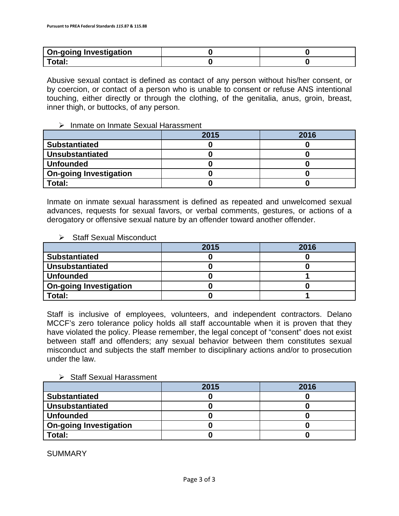| <b>On-going Investigation</b> |  |
|-------------------------------|--|
|                               |  |

Abusive sexual contact is defined as contact of any person without his/her consent, or by coercion, or contact of a person who is unable to consent or refuse ANS intentional touching, either directly or through the clothing, of the genitalia, anus, groin, breast, inner thigh, or buttocks, of any person.

 $\triangleright$  Inmate on Inmate Sexual Harassment

|                               | 2015 | 2016 |
|-------------------------------|------|------|
| <b>Substantiated</b>          |      |      |
| <b>Unsubstantiated</b>        |      |      |
| <b>Unfounded</b>              |      |      |
| <b>On-going Investigation</b> |      |      |
| Total:                        |      |      |

Inmate on inmate sexual harassment is defined as repeated and unwelcomed sexual advances, requests for sexual favors, or verbal comments, gestures, or actions of a derogatory or offensive sexual nature by an offender toward another offender.

 $\triangleright$  Staff Sexual Misconduct

|                               | 2015 | 2016 |
|-------------------------------|------|------|
| <b>Substantiated</b>          |      |      |
| <b>Unsubstantiated</b>        |      |      |
| <b>Unfounded</b>              |      |      |
| <b>On-going Investigation</b> |      |      |
| Total:                        |      |      |

Staff is inclusive of employees, volunteers, and independent contractors. Delano MCCF's zero tolerance policy holds all staff accountable when it is proven that they have violated the policy. Please remember, the legal concept of "consent" does not exist between staff and offenders; any sexual behavior between them constitutes sexual misconduct and subjects the staff member to disciplinary actions and/or to prosecution under the law.

 $\triangleright$  Staff Sexual Harassment

|                               | 2015 | 2016 |
|-------------------------------|------|------|
| <b>Substantiated</b>          |      |      |
| <b>Unsubstantiated</b>        |      |      |
| <b>Unfounded</b>              |      |      |
| <b>On-going Investigation</b> |      |      |
| Total:                        |      |      |

SUMMARY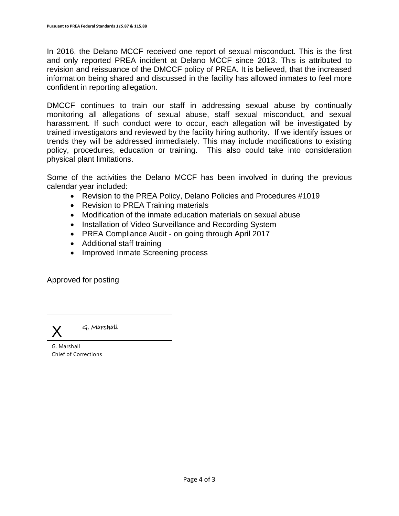In 2016, the Delano MCCF received one report of sexual misconduct. This is the first and only reported PREA incident at Delano MCCF since 2013. This is attributed to revision and reissuance of the DMCCF policy of PREA. It is believed, that the increased information being shared and discussed in the facility has allowed inmates to feel more confident in reporting allegation.

DMCCF continues to train our staff in addressing sexual abuse by continually monitoring all allegations of sexual abuse, staff sexual misconduct, and sexual harassment. If such conduct were to occur, each allegation will be investigated by trained investigators and reviewed by the facility hiring authority. If we identify issues or trends they will be addressed immediately. This may include modifications to existing policy, procedures, education or training. This also could take into consideration physical plant limitations.

Some of the activities the Delano MCCF has been involved in during the previous calendar year included:

- Revision to the PREA Policy, Delano Policies and Procedures #1019
- Revision to PREA Training materials
- Modification of the inmate education materials on sexual abuse
- Installation of Video Surveillance and Recording System
- PREA Compliance Audit on going through April 2017
- Additional staff training
- Improved Inmate Screening process

Approved for posting



G. Marshall

G. Marshall Chief of Corrections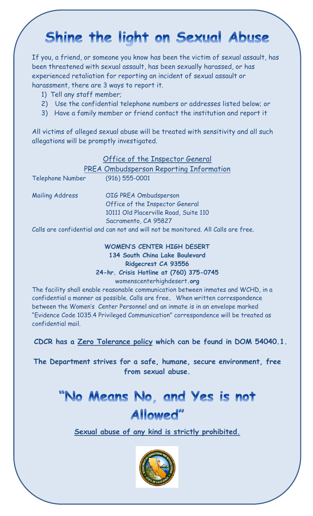## Shine the light on Sexual Abuse

If you, a friend, or someone you know has been the victim of sexual assault, has been threatened with sexual assault, has been sexually harassed, or has experienced retaliation for reporting an incident of sexual assault or harassment, there are 3 ways to report it.

- 1) Tell any staff member;
- 2) Use the confidential telephone numbers or addresses listed below; or
- 3) Have a family member or friend contact the institution and report it

All victims of alleged sexual abuse will be treated with sensitivity and all such allegations will be promptly investigated.

### Office of the Inspector General

PREA Ombudsperson Reporting Information

| <b>Telephone Number</b> | $(916) 555 - 0001$                                                                |
|-------------------------|-----------------------------------------------------------------------------------|
| <b>Mailing Address</b>  | OIG PREA Ombudsperson                                                             |
|                         | Office of the Inspector General                                                   |
|                         | 10111 Old Placerville Road, Suite 110                                             |
|                         | Sacramento, CA 95827                                                              |
|                         | Calls are confidential and can not and will not be monitored. All Calls are free. |
|                         |                                                                                   |

#### **WOMEN'S CENTER HIGH DESERT 134 South China Lake Boulevard Ridgecrest CA 93556 24-hr. Crisis Hotline at (760) 375-0745**  womenscenterhighdesert**.org**

The facility shall enable reasonable communication between inmates and WCHD, in a confidential a manner as possible. Calls are free**.** When written correspondence between the Women's Center Personnel and an inmate is in an envelope marked "Evidence Code 1035.4 Privileged Communication" correspondence will be treated as confidential mail.

#### **CDCR has a Zero Tolerance policy which can be found in DOM 54040.1.**

**The Department strives for a safe, humane, secure environment, free from sexual abuse.** 

# "No Means No, and Yes is not Allowed"

**Sexual abuse of any kind is strictly prohibited.**